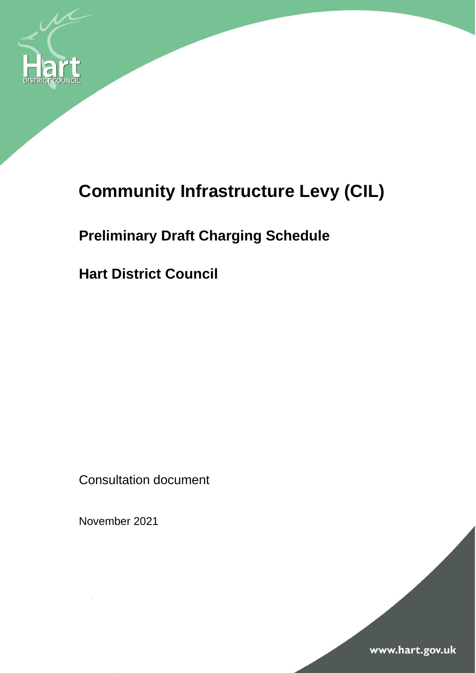

# **Community Infrastructure Levy (CIL)**

## **Preliminary Draft Charging Schedule**

**Hart District Council**

Consultation document

November 2021

www.hart.gov.uk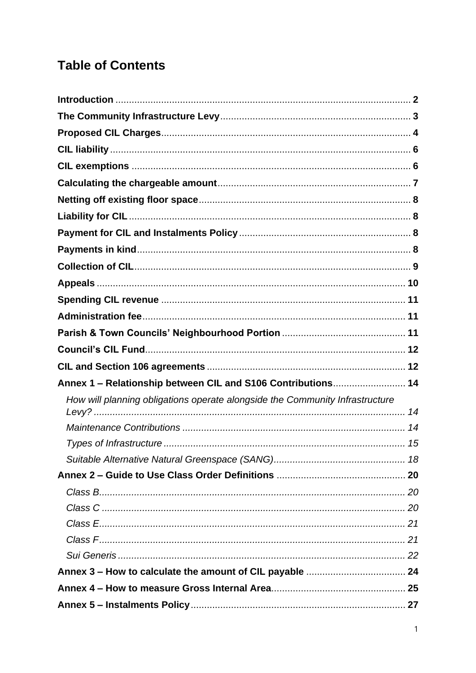### **Table of Contents**

| Annex 1 - Relationship between CIL and S106 Contributions 14                 |  |
|------------------------------------------------------------------------------|--|
| How will planning obligations operate alongside the Community Infrastructure |  |
|                                                                              |  |
|                                                                              |  |
|                                                                              |  |
|                                                                              |  |
|                                                                              |  |
|                                                                              |  |
|                                                                              |  |
|                                                                              |  |
|                                                                              |  |
|                                                                              |  |
|                                                                              |  |
|                                                                              |  |
|                                                                              |  |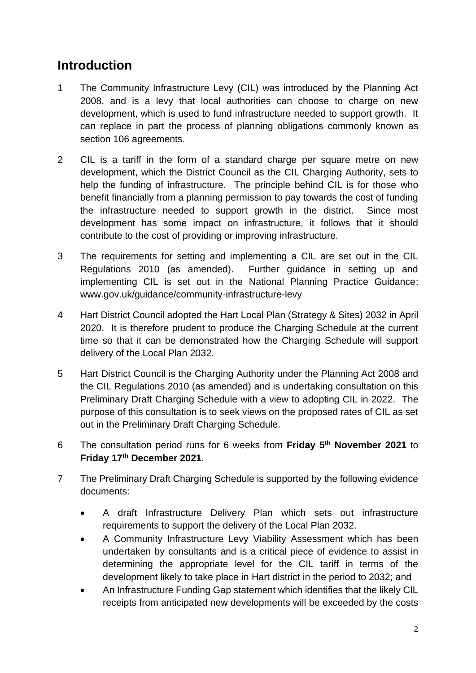#### **Introduction**

- 1 The Community Infrastructure Levy (CIL) was introduced by the Planning Act 2008, and is a levy that local authorities can choose to charge on new development, which is used to fund infrastructure needed to support growth. It can replace in part the process of planning obligations commonly known as section 106 agreements.
- 2 CIL is a tariff in the form of a standard charge per square metre on new development, which the District Council as the CIL Charging Authority, sets to help the funding of infrastructure. The principle behind CIL is for those who benefit financially from a planning permission to pay towards the cost of funding the infrastructure needed to support growth in the district. Since most development has some impact on infrastructure, it follows that it should contribute to the cost of providing or improving infrastructure.
- 3 The requirements for setting and implementing a CIL are set out in the CIL Regulations 2010 (as amended). Further guidance in setting up and implementing CIL is set out in the National Planning Practice Guidance: www.gov.uk/guidance/community-infrastructure-levy
- 4 Hart District Council adopted the Hart Local Plan (Strategy & Sites) 2032 in April 2020. It is therefore prudent to produce the Charging Schedule at the current time so that it can be demonstrated how the Charging Schedule will support delivery of the Local Plan 2032.
- 5 Hart District Council is the Charging Authority under the Planning Act 2008 and the CIL Regulations 2010 (as amended) and is undertaking consultation on this Preliminary Draft Charging Schedule with a view to adopting CIL in 2022. The purpose of this consultation is to seek views on the proposed rates of CIL as set out in the Preliminary Draft Charging Schedule.
- 6 The consultation period runs for 6 weeks from **Friday 5 th November 2021** to **Friday 17th December 2021**.
- 7 The Preliminary Draft Charging Schedule is supported by the following evidence documents:
	- A draft Infrastructure Delivery Plan which sets out infrastructure requirements to support the delivery of the Local Plan 2032.
	- A Community Infrastructure Levy Viability Assessment which has been undertaken by consultants and is a critical piece of evidence to assist in determining the appropriate level for the CIL tariff in terms of the development likely to take place in Hart district in the period to 2032; and
	- An Infrastructure Funding Gap statement which identifies that the likely CIL receipts from anticipated new developments will be exceeded by the costs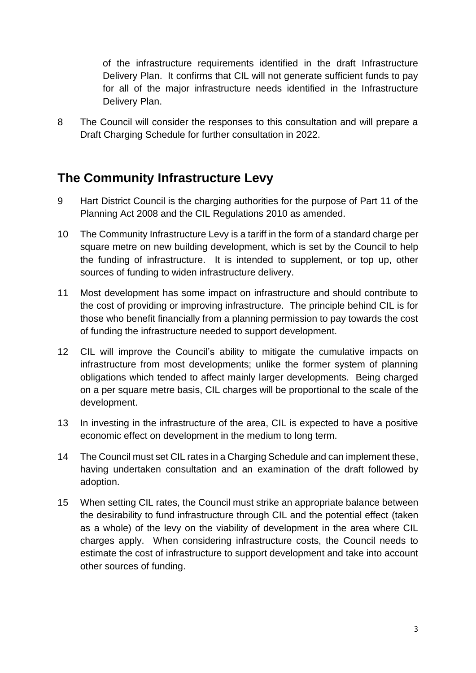of the infrastructure requirements identified in the draft Infrastructure Delivery Plan. It confirms that CIL will not generate sufficient funds to pay for all of the major infrastructure needs identified in the Infrastructure Delivery Plan.

8 The Council will consider the responses to this consultation and will prepare a Draft Charging Schedule for further consultation in 2022.

#### **The Community Infrastructure Levy**

- 9 Hart District Council is the charging authorities for the purpose of Part 11 of the Planning Act 2008 and the CIL Regulations 2010 as amended.
- 10 The Community Infrastructure Levy is a tariff in the form of a standard charge per square metre on new building development, which is set by the Council to help the funding of infrastructure. It is intended to supplement, or top up, other sources of funding to widen infrastructure delivery.
- 11 Most development has some impact on infrastructure and should contribute to the cost of providing or improving infrastructure. The principle behind CIL is for those who benefit financially from a planning permission to pay towards the cost of funding the infrastructure needed to support development.
- 12 CIL will improve the Council's ability to mitigate the cumulative impacts on infrastructure from most developments; unlike the former system of planning obligations which tended to affect mainly larger developments. Being charged on a per square metre basis, CIL charges will be proportional to the scale of the development.
- 13 In investing in the infrastructure of the area, CIL is expected to have a positive economic effect on development in the medium to long term.
- 14 The Council must set CIL rates in a Charging Schedule and can implement these, having undertaken consultation and an examination of the draft followed by adoption.
- 15 When setting CIL rates, the Council must strike an appropriate balance between the desirability to fund infrastructure through CIL and the potential effect (taken as a whole) of the levy on the viability of development in the area where CIL charges apply. When considering infrastructure costs, the Council needs to estimate the cost of infrastructure to support development and take into account other sources of funding.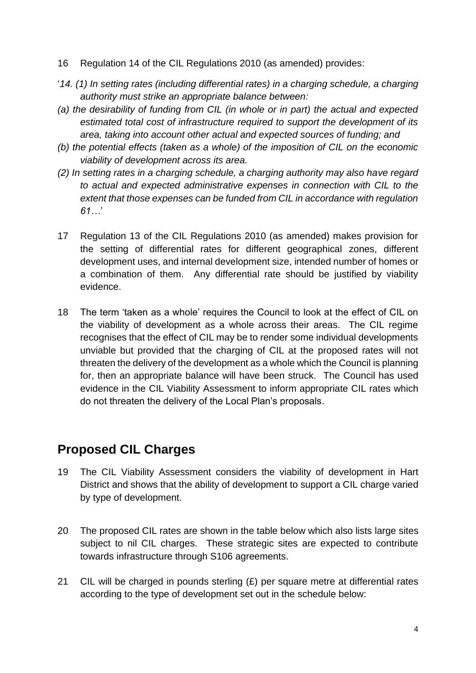- 16 Regulation 14 of the CIL Regulations 2010 (as amended) provides:
- '*14. (1) In setting rates (including differential rates) in a charging schedule, a charging authority must strike an appropriate balance between:*
- *(a) the desirability of funding from CIL (in whole or in part) the actual and expected estimated total cost of infrastructure required to support the development of its area, taking into account other actual and expected sources of funding; and*
- *(b) the potential effects (taken as a whole) of the imposition of CIL on the economic viability of development across its area.*
- *(2) In setting rates in a charging schedule, a charging authority may also have regard to actual and expected administrative expenses in connection with CIL to the extent that those expenses can be funded from CIL in accordance with regulation 61…*'
- 17 Regulation 13 of the CIL Regulations 2010 (as amended) makes provision for the setting of differential rates for different geographical zones, different development uses, and internal development size, intended number of homes or a combination of them. Any differential rate should be justified by viability evidence.
- 18 The term 'taken as a whole' requires the Council to look at the effect of CIL on the viability of development as a whole across their areas. The CIL regime recognises that the effect of CIL may be to render some individual developments unviable but provided that the charging of CIL at the proposed rates will not threaten the delivery of the development as a whole which the Council is planning for, then an appropriate balance will have been struck. The Council has used evidence in the CIL Viability Assessment to inform appropriate CIL rates which do not threaten the delivery of the Local Plan's proposals.

### **Proposed CIL Charges**

- 19 The CIL Viability Assessment considers the viability of development in Hart District and shows that the ability of development to support a CIL charge varied by type of development.
- 20 The proposed CIL rates are shown in the table below which also lists large sites subject to nil CIL charges. These strategic sites are expected to contribute towards infrastructure through S106 agreements.
- 21 CIL will be charged in pounds sterling  $(E)$  per square metre at differential rates according to the type of development set out in the schedule below: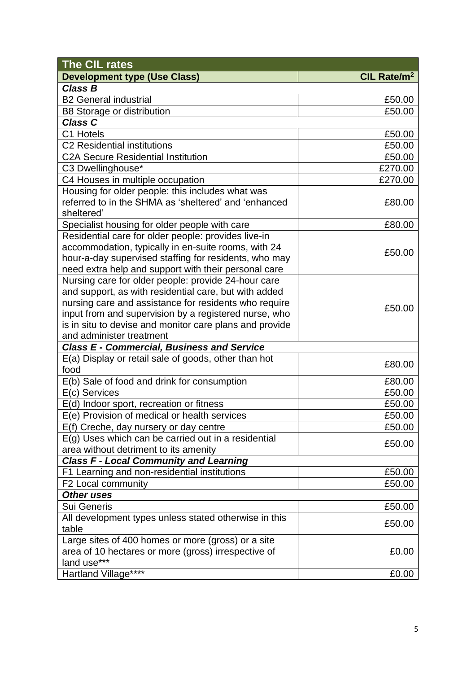| The CIL rates                                           |                         |
|---------------------------------------------------------|-------------------------|
| <b>Development type (Use Class)</b>                     | CIL Rate/m <sup>2</sup> |
| <b>Class B</b>                                          |                         |
| <b>B2 General industrial</b>                            | £50.00                  |
| <b>B8 Storage or distribution</b>                       | £50.00                  |
| <b>Class C</b>                                          |                         |
| C1 Hotels                                               | £50.00                  |
| C2 Residential institutions                             | £50.00                  |
| <b>C2A Secure Residential Institution</b>               | £50.00                  |
| C3 Dwellinghouse*                                       | £270.00                 |
| C4 Houses in multiple occupation                        | £270.00                 |
| Housing for older people: this includes what was        |                         |
| referred to in the SHMA as 'sheltered' and 'enhanced    | £80.00                  |
| sheltered'                                              |                         |
| Specialist housing for older people with care           | £80.00                  |
| Residential care for older people: provides live-in     |                         |
| accommodation, typically in en-suite rooms, with 24     |                         |
| hour-a-day supervised staffing for residents, who may   | £50.00                  |
| need extra help and support with their personal care    |                         |
| Nursing care for older people: provide 24-hour care     |                         |
| and support, as with residential care, but with added   |                         |
| nursing care and assistance for residents who require   | £50.00                  |
| input from and supervision by a registered nurse, who   |                         |
| is in situ to devise and monitor care plans and provide |                         |
| and administer treatment                                |                         |
| <b>Class E - Commercial, Business and Service</b>       |                         |
| E(a) Display or retail sale of goods, other than hot    | £80.00                  |
| food                                                    |                         |
| E(b) Sale of food and drink for consumption             | £80.00                  |
| E(c) Services                                           | £50.00                  |
| E(d) Indoor sport, recreation or fitness                | £50.00                  |
| E(e) Provision of medical or health services            | £50.00                  |
| E(f) Creche, day nursery or day centre                  | £50.00                  |
| $E(g)$ Uses which can be carried out in a residential   | £50.00                  |
| area without detriment to its amenity                   |                         |
| <b>Class F - Local Community and Learning</b>           |                         |
| F1 Learning and non-residential institutions            | £50.00                  |
| F2 Local community                                      | £50.00                  |
| <b>Other uses</b>                                       |                         |
| Sui Generis                                             | £50.00                  |
| All development types unless stated otherwise in this   | £50.00                  |
| table                                                   |                         |
| Large sites of 400 homes or more (gross) or a site      |                         |
| area of 10 hectares or more (gross) irrespective of     | £0.00                   |
| land use***                                             |                         |
| Hartland Village****                                    | £0.00                   |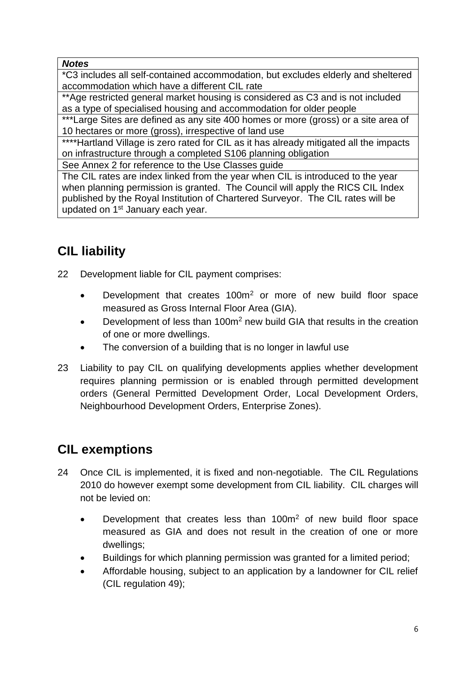#### *Notes*

\*C3 includes all self-contained accommodation, but excludes elderly and sheltered accommodation which have a different CIL rate

\*\*Age restricted general market housing is considered as C3 and is not included as a type of specialised housing and accommodation for older people

\*\*\*Large Sites are defined as any site 400 homes or more (gross) or a site area of 10 hectares or more (gross), irrespective of land use

\*\*\*\*Hartland Village is zero rated for CIL as it has already mitigated all the impacts on infrastructure through a completed S106 planning obligation

See Annex 2 for reference to the Use Classes guide

The CIL rates are index linked from the year when CIL is introduced to the year when planning permission is granted. The Council will apply the RICS CIL Index published by the Royal Institution of Chartered Surveyor. The CIL rates will be updated on 1<sup>st</sup> January each year.

### **CIL liability**

- 22 Development liable for CIL payment comprises:
	- Development that creates 100m<sup>2</sup> or more of new build floor space measured as Gross Internal Floor Area (GIA).
	- Development of less than 100m<sup>2</sup> new build GIA that results in the creation of one or more dwellings.
	- The conversion of a building that is no longer in lawful use
- 23 Liability to pay CIL on qualifying developments applies whether development requires planning permission or is enabled through permitted development orders (General Permitted Development Order, Local Development Orders, Neighbourhood Development Orders, Enterprise Zones).

### **CIL exemptions**

- 24 Once CIL is implemented, it is fixed and non-negotiable. The CIL Regulations 2010 do however exempt some development from CIL liability. CIL charges will not be levied on:
	- Development that creates less than 100m<sup>2</sup> of new build floor space measured as GIA and does not result in the creation of one or more dwellings;
	- Buildings for which planning permission was granted for a limited period;
	- Affordable housing, subject to an application by a landowner for CIL relief (CIL regulation 49);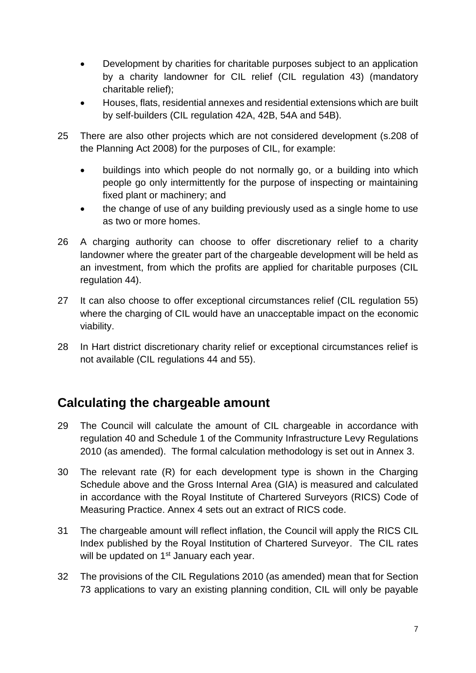- Development by charities for charitable purposes subject to an application by a charity landowner for CIL relief (CIL regulation 43) (mandatory charitable relief);
- Houses, flats, residential annexes and residential extensions which are built by self-builders (CIL regulation 42A, 42B, 54A and 54B).
- 25 There are also other projects which are not considered development (s.208 of the Planning Act 2008) for the purposes of CIL, for example:
	- buildings into which people do not normally go, or a building into which people go only intermittently for the purpose of inspecting or maintaining fixed plant or machinery; and
	- the change of use of any building previously used as a single home to use as two or more homes.
- 26 A charging authority can choose to offer discretionary relief to a charity landowner where the greater part of the chargeable development will be held as an investment, from which the profits are applied for charitable purposes (CIL regulation 44).
- 27 It can also choose to offer exceptional circumstances relief (CIL regulation 55) where the charging of CIL would have an unacceptable impact on the economic viability.
- 28 In Hart district discretionary charity relief or exceptional circumstances relief is not available (CIL regulations 44 and 55).

#### **Calculating the chargeable amount**

- 29 The Council will calculate the amount of CIL chargeable in accordance with regulation 40 and Schedule 1 of the Community Infrastructure Levy Regulations 2010 (as amended). The formal calculation methodology is set out in Annex 3.
- 30 The relevant rate (R) for each development type is shown in the Charging Schedule above and the Gross Internal Area (GIA) is measured and calculated in accordance with the Royal Institute of Chartered Surveyors (RICS) Code of Measuring Practice. Annex 4 sets out an extract of RICS code.
- 31 The chargeable amount will reflect inflation, the Council will apply the RICS CIL Index published by the Royal Institution of Chartered Surveyor. The CIL rates will be updated on 1<sup>st</sup> January each year.
- 32 The provisions of the CIL Regulations 2010 (as amended) mean that for Section 73 applications to vary an existing planning condition, CIL will only be payable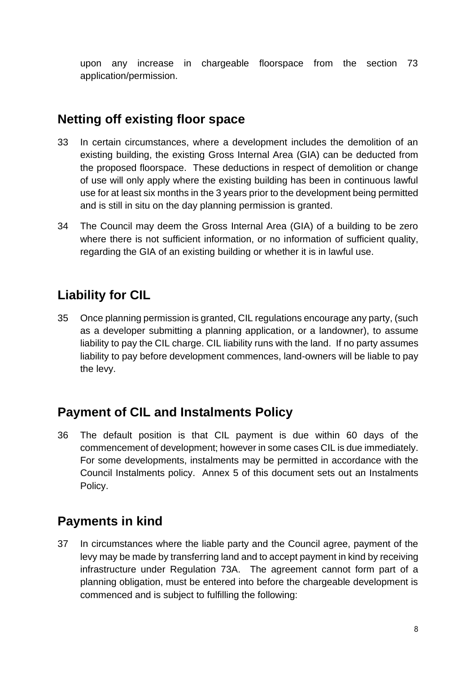upon any increase in chargeable floorspace from the section 73 application/permission.

### **Netting off existing floor space**

- 33 In certain circumstances, where a development includes the demolition of an existing building, the existing Gross Internal Area (GIA) can be deducted from the proposed floorspace. These deductions in respect of demolition or change of use will only apply where the existing building has been in continuous lawful use for at least six months in the 3 years prior to the development being permitted and is still in situ on the day planning permission is granted.
- 34 The Council may deem the Gross Internal Area (GIA) of a building to be zero where there is not sufficient information, or no information of sufficient quality, regarding the GIA of an existing building or whether it is in lawful use.

### **Liability for CIL**

35 Once planning permission is granted, CIL regulations encourage any party, (such as a developer submitting a planning application, or a landowner), to assume liability to pay the CIL charge. CIL liability runs with the land. If no party assumes liability to pay before development commences, land-owners will be liable to pay the levy.

#### **Payment of CIL and Instalments Policy**

36 The default position is that CIL payment is due within 60 days of the commencement of development; however in some cases CIL is due immediately. For some developments, instalments may be permitted in accordance with the Council Instalments policy. Annex 5 of this document sets out an Instalments Policy.

#### **Payments in kind**

37 In circumstances where the liable party and the Council agree, payment of the levy may be made by transferring land and to accept payment in kind by receiving infrastructure under Regulation 73A. The agreement cannot form part of a planning obligation, must be entered into before the chargeable development is commenced and is subject to fulfilling the following: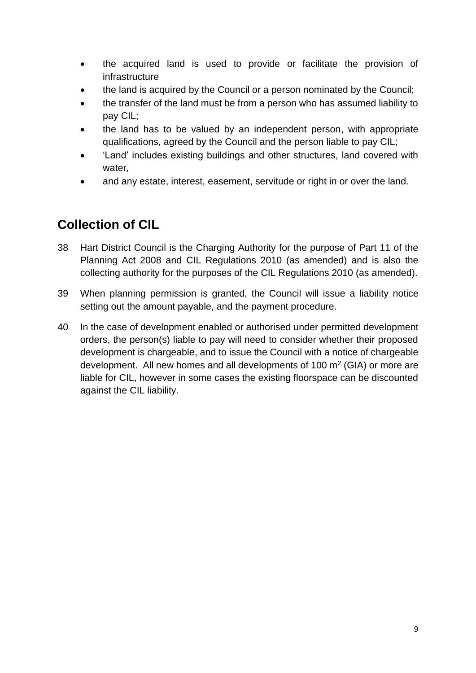- the acquired land is used to provide or facilitate the provision of infrastructure
- the land is acquired by the Council or a person nominated by the Council;
- the transfer of the land must be from a person who has assumed liability to pay CIL;
- the land has to be valued by an independent person, with appropriate qualifications, agreed by the Council and the person liable to pay CIL;
- 'Land' includes existing buildings and other structures, land covered with water,
- and any estate, interest, easement, servitude or right in or over the land.

### **Collection of CIL**

- 38 Hart District Council is the Charging Authority for the purpose of Part 11 of the Planning Act 2008 and CIL Regulations 2010 (as amended) and is also the collecting authority for the purposes of the CIL Regulations 2010 (as amended).
- 39 When planning permission is granted, the Council will issue a liability notice setting out the amount payable, and the payment procedure.
- 40 In the case of development enabled or authorised under permitted development orders, the person(s) liable to pay will need to consider whether their proposed development is chargeable, and to issue the Council with a notice of chargeable development. All new homes and all developments of 100  $m<sup>2</sup>$  (GIA) or more are liable for CIL, however in some cases the existing floorspace can be discounted against the CIL liability.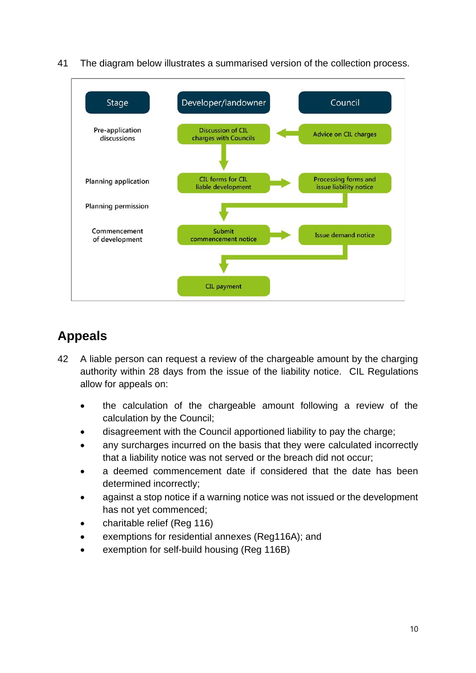

41 The diagram below illustrates a summarised version of the collection process.

### **Appeals**

- 42 A liable person can request a review of the chargeable amount by the charging authority within 28 days from the issue of the liability notice. CIL Regulations allow for appeals on:
	- the calculation of the chargeable amount following a review of the calculation by the Council;
	- disagreement with the Council apportioned liability to pay the charge;
	- any surcharges incurred on the basis that they were calculated incorrectly that a liability notice was not served or the breach did not occur;
	- a deemed commencement date if considered that the date has been determined incorrectly;
	- against a stop notice if a warning notice was not issued or the development has not yet commenced;
	- charitable relief (Reg 116)
	- exemptions for residential annexes (Reg116A); and
	- exemption for self-build housing (Reg 116B)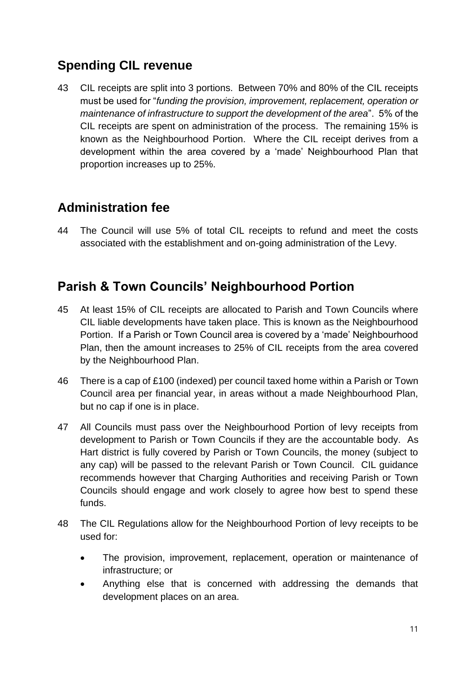### **Spending CIL revenue**

43 CIL receipts are split into 3 portions. Between 70% and 80% of the CIL receipts must be used for "*funding the provision, improvement, replacement, operation or maintenance of infrastructure to support the development of the area*". 5% of the CIL receipts are spent on administration of the process. The remaining 15% is known as the Neighbourhood Portion. Where the CIL receipt derives from a development within the area covered by a 'made' Neighbourhood Plan that proportion increases up to 25%.

#### **Administration fee**

44 The Council will use 5% of total CIL receipts to refund and meet the costs associated with the establishment and on-going administration of the Levy.

#### **Parish & Town Councils' Neighbourhood Portion**

- 45 At least 15% of CIL receipts are allocated to Parish and Town Councils where CIL liable developments have taken place. This is known as the Neighbourhood Portion. If a Parish or Town Council area is covered by a 'made' Neighbourhood Plan, then the amount increases to 25% of CIL receipts from the area covered by the Neighbourhood Plan.
- 46 There is a cap of £100 (indexed) per council taxed home within a Parish or Town Council area per financial year, in areas without a made Neighbourhood Plan, but no cap if one is in place.
- 47 All Councils must pass over the Neighbourhood Portion of levy receipts from development to Parish or Town Councils if they are the accountable body. As Hart district is fully covered by Parish or Town Councils, the money (subject to any cap) will be passed to the relevant Parish or Town Council. CIL guidance recommends however that Charging Authorities and receiving Parish or Town Councils should engage and work closely to agree how best to spend these funds.
- 48 The CIL Regulations allow for the Neighbourhood Portion of levy receipts to be used for:
	- The provision, improvement, replacement, operation or maintenance of infrastructure; or
	- Anything else that is concerned with addressing the demands that development places on an area.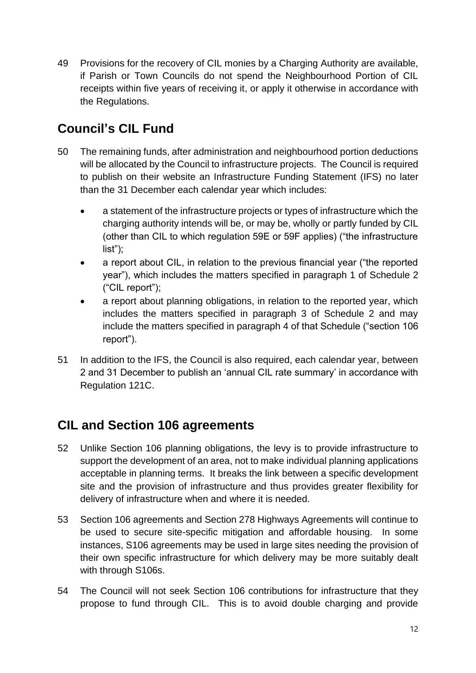49 Provisions for the recovery of CIL monies by a Charging Authority are available, if Parish or Town Councils do not spend the Neighbourhood Portion of CIL receipts within five years of receiving it, or apply it otherwise in accordance with the Regulations.

### **Council's CIL Fund**

- 50 The remaining funds, after administration and neighbourhood portion deductions will be allocated by the Council to infrastructure projects. The Council is required to publish on their website an Infrastructure Funding Statement (IFS) no later than the 31 December each calendar year which includes:
	- a statement of the infrastructure projects or types of infrastructure which the charging authority intends will be, or may be, wholly or partly funded by CIL (other than CIL to which regulation 59E or 59F applies) ("the infrastructure list");
	- a report about CIL, in relation to the previous financial year ("the reported year"), which includes the matters specified in paragraph 1 of Schedule 2 ("CIL report");
	- a report about planning obligations, in relation to the reported year, which includes the matters specified in paragraph 3 of Schedule 2 and may include the matters specified in paragraph 4 of that Schedule ("section 106 report").
- 51 In addition to the IFS, the Council is also required, each calendar year, between 2 and 31 December to publish an 'annual CIL rate summary' in accordance with Regulation 121C.

### **CIL and Section 106 agreements**

- 52 Unlike Section 106 planning obligations, the levy is to provide infrastructure to support the development of an area, not to make individual planning applications acceptable in planning terms. It breaks the link between a specific development site and the provision of infrastructure and thus provides greater flexibility for delivery of infrastructure when and where it is needed.
- 53 Section 106 agreements and Section 278 Highways Agreements will continue to be used to secure site-specific mitigation and affordable housing. In some instances, S106 agreements may be used in large sites needing the provision of their own specific infrastructure for which delivery may be more suitably dealt with through S106s.
- 54 The Council will not seek Section 106 contributions for infrastructure that they propose to fund through CIL. This is to avoid double charging and provide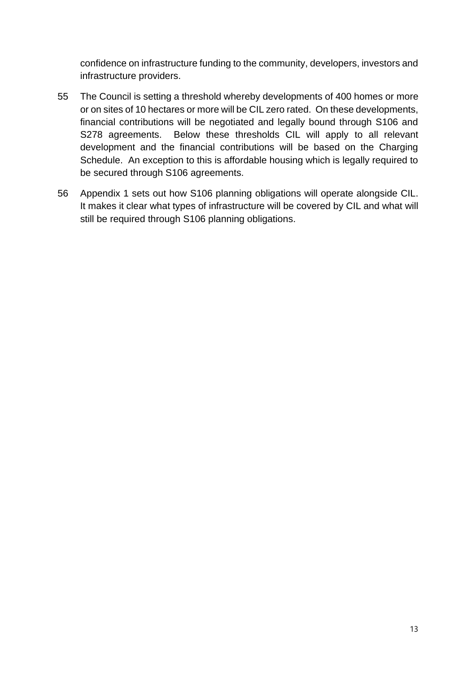confidence on infrastructure funding to the community, developers, investors and infrastructure providers.

- 55 The Council is setting a threshold whereby developments of 400 homes or more or on sites of 10 hectares or more will be CIL zero rated. On these developments, financial contributions will be negotiated and legally bound through S106 and S278 agreements. Below these thresholds CIL will apply to all relevant development and the financial contributions will be based on the Charging Schedule. An exception to this is affordable housing which is legally required to be secured through S106 agreements.
- 56 Appendix 1 sets out how S106 planning obligations will operate alongside CIL. It makes it clear what types of infrastructure will be covered by CIL and what will still be required through S106 planning obligations.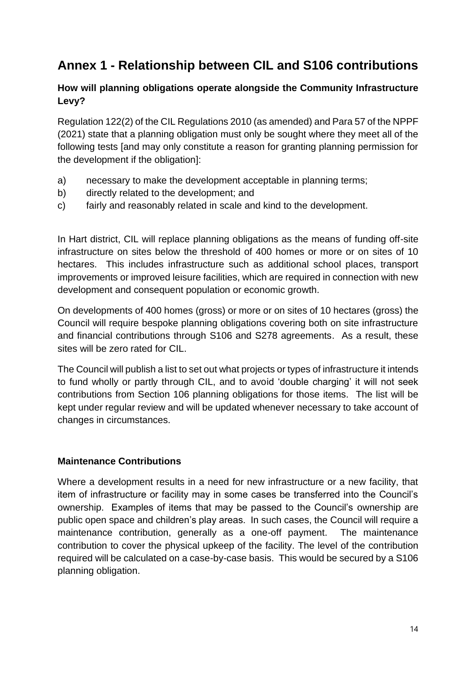### **Annex 1 - Relationship between CIL and S106 contributions**

#### **How will planning obligations operate alongside the Community Infrastructure Levy?**

Regulation 122(2) of the CIL Regulations 2010 (as amended) and Para 57 of the NPPF (2021) state that a planning obligation must only be sought where they meet all of the following tests [and may only constitute a reason for granting planning permission for the development if the obligation]:

- a) necessary to make the development acceptable in planning terms;
- b) directly related to the development; and
- c) fairly and reasonably related in scale and kind to the development.

In Hart district, CIL will replace planning obligations as the means of funding off-site infrastructure on sites below the threshold of 400 homes or more or on sites of 10 hectares. This includes infrastructure such as additional school places, transport improvements or improved leisure facilities, which are required in connection with new development and consequent population or economic growth.

On developments of 400 homes (gross) or more or on sites of 10 hectares (gross) the Council will require bespoke planning obligations covering both on site infrastructure and financial contributions through S106 and S278 agreements. As a result, these sites will be zero rated for CIL.

The Council will publish a list to set out what projects or types of infrastructure it intends to fund wholly or partly through CIL, and to avoid 'double charging' it will not seek contributions from Section 106 planning obligations for those items. The list will be kept under regular review and will be updated whenever necessary to take account of changes in circumstances.

#### **Maintenance Contributions**

Where a development results in a need for new infrastructure or a new facility, that item of infrastructure or facility may in some cases be transferred into the Council's ownership. Examples of items that may be passed to the Council's ownership are public open space and children's play areas. In such cases, the Council will require a maintenance contribution, generally as a one-off payment. The maintenance contribution to cover the physical upkeep of the facility. The level of the contribution required will be calculated on a case-by-case basis. This would be secured by a S106 planning obligation.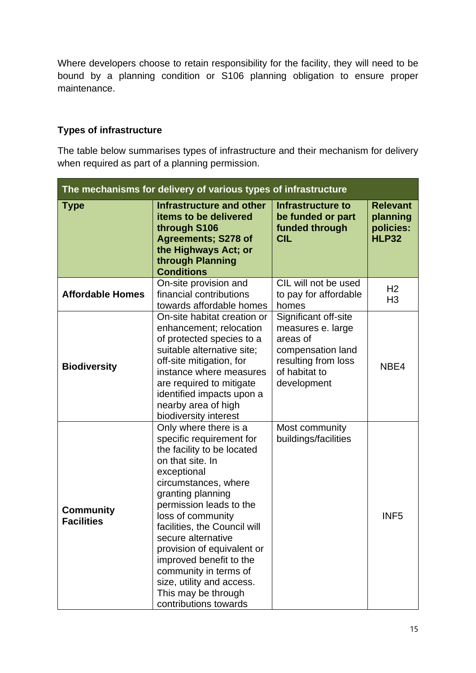Where developers choose to retain responsibility for the facility, they will need to be bound by a planning condition or S106 planning obligation to ensure proper maintenance.

#### **Types of infrastructure**

The table below summarises types of infrastructure and their mechanism for delivery when required as part of a planning permission.

| The mechanisms for delivery of various types of infrastructure |                                                                                                                                                                                                                                                                                                                                                                                                                                      |                                                                                                                                   |                                                          |
|----------------------------------------------------------------|--------------------------------------------------------------------------------------------------------------------------------------------------------------------------------------------------------------------------------------------------------------------------------------------------------------------------------------------------------------------------------------------------------------------------------------|-----------------------------------------------------------------------------------------------------------------------------------|----------------------------------------------------------|
| <b>Type</b>                                                    | Infrastructure and other<br>items to be delivered<br>through S106<br><b>Agreements; S278 of</b><br>the Highways Act; or<br>through Planning<br><b>Conditions</b>                                                                                                                                                                                                                                                                     | <b>Infrastructure to</b><br>be funded or part<br>funded through<br><b>CIL</b>                                                     | <b>Relevant</b><br>planning<br>policies:<br><b>HLP32</b> |
| <b>Affordable Homes</b>                                        | On-site provision and<br>financial contributions<br>towards affordable homes                                                                                                                                                                                                                                                                                                                                                         | CIL will not be used<br>to pay for affordable<br>homes                                                                            | H <sub>2</sub><br>H <sub>3</sub>                         |
| <b>Biodiversity</b>                                            | On-site habitat creation or<br>enhancement; relocation<br>of protected species to a<br>suitable alternative site;<br>off-site mitigation, for<br>instance where measures<br>are required to mitigate<br>identified impacts upon a<br>nearby area of high<br>biodiversity interest                                                                                                                                                    | Significant off-site<br>measures e. large<br>areas of<br>compensation land<br>resulting from loss<br>of habitat to<br>development | NBE4                                                     |
| <b>Community</b><br><b>Facilities</b>                          | Only where there is a<br>specific requirement for<br>the facility to be located<br>on that site. In<br>exceptional<br>circumstances, where<br>granting planning<br>permission leads to the<br>loss of community<br>facilities, the Council will<br>secure alternative<br>provision of equivalent or<br>improved benefit to the<br>community in terms of<br>size, utility and access.<br>This may be through<br>contributions towards | Most community<br>buildings/facilities                                                                                            | INF <sub>5</sub>                                         |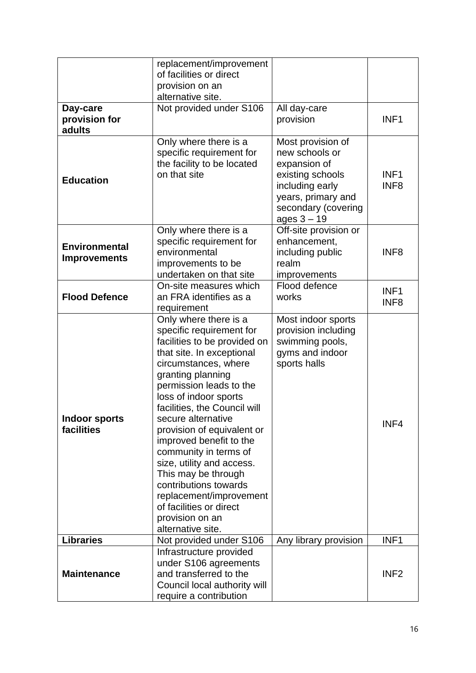|                                             | replacement/improvement<br>of facilities or direct<br>provision on an<br>alternative site.                                                                                                                                                                                                                                                                                                                                                                                                                                         |                                                                                                                                                          |                                      |
|---------------------------------------------|------------------------------------------------------------------------------------------------------------------------------------------------------------------------------------------------------------------------------------------------------------------------------------------------------------------------------------------------------------------------------------------------------------------------------------------------------------------------------------------------------------------------------------|----------------------------------------------------------------------------------------------------------------------------------------------------------|--------------------------------------|
| Day-care<br>provision for<br>adults         | Not provided under S106                                                                                                                                                                                                                                                                                                                                                                                                                                                                                                            | All day-care<br>provision                                                                                                                                | INF <sub>1</sub>                     |
| <b>Education</b>                            | Only where there is a<br>specific requirement for<br>the facility to be located<br>on that site                                                                                                                                                                                                                                                                                                                                                                                                                                    | Most provision of<br>new schools or<br>expansion of<br>existing schools<br>including early<br>years, primary and<br>secondary (covering<br>ages $3 - 19$ | INF <sub>1</sub><br>INF <sub>8</sub> |
| <b>Environmental</b><br><b>Improvements</b> | Only where there is a<br>specific requirement for<br>environmental<br>improvements to be<br>undertaken on that site                                                                                                                                                                                                                                                                                                                                                                                                                | Off-site provision or<br>enhancement,<br>including public<br>realm<br>improvements                                                                       | INF <sub>8</sub>                     |
| <b>Flood Defence</b>                        | On-site measures which<br>an FRA identifies as a<br>requirement                                                                                                                                                                                                                                                                                                                                                                                                                                                                    | Flood defence<br>works                                                                                                                                   | INF <sub>1</sub><br>INF <sub>8</sub> |
| <b>Indoor sports</b><br>facilities          | Only where there is a<br>specific requirement for<br>facilities to be provided on<br>that site. In exceptional<br>circumstances, where<br>granting planning<br>permission leads to the<br>loss of indoor sports<br>facilities, the Council will<br>secure alternative<br>provision of equivalent or<br>improved benefit to the<br>community in terms of<br>size, utility and access.<br>This may be through<br>contributions towards<br>replacement/improvement<br>of facilities or direct<br>provision on an<br>alternative site. | Most indoor sports<br>provision including<br>swimming pools,<br>gyms and indoor<br>sports halls                                                          | INF4                                 |
| <b>Libraries</b>                            | Not provided under S106                                                                                                                                                                                                                                                                                                                                                                                                                                                                                                            | Any library provision                                                                                                                                    | INF <sub>1</sub>                     |
| <b>Maintenance</b>                          | Infrastructure provided<br>under S106 agreements<br>and transferred to the<br>Council local authority will<br>require a contribution                                                                                                                                                                                                                                                                                                                                                                                               |                                                                                                                                                          | INF <sub>2</sub>                     |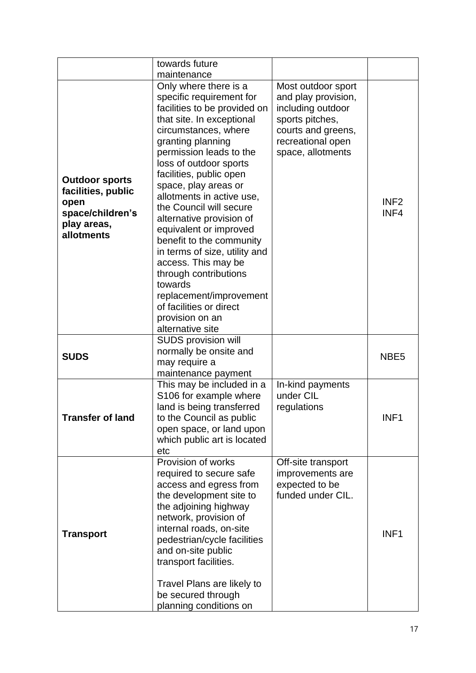|                                                                                                      | towards future                                                                                                                                                                                                                                                                                                                                                                                                                                                                                                                                                                                         |                                                                                                                                                   |                          |
|------------------------------------------------------------------------------------------------------|--------------------------------------------------------------------------------------------------------------------------------------------------------------------------------------------------------------------------------------------------------------------------------------------------------------------------------------------------------------------------------------------------------------------------------------------------------------------------------------------------------------------------------------------------------------------------------------------------------|---------------------------------------------------------------------------------------------------------------------------------------------------|--------------------------|
|                                                                                                      | maintenance                                                                                                                                                                                                                                                                                                                                                                                                                                                                                                                                                                                            |                                                                                                                                                   |                          |
| <b>Outdoor sports</b><br>facilities, public<br>open<br>space/children's<br>play areas,<br>allotments | Only where there is a<br>specific requirement for<br>facilities to be provided on<br>that site. In exceptional<br>circumstances, where<br>granting planning<br>permission leads to the<br>loss of outdoor sports<br>facilities, public open<br>space, play areas or<br>allotments in active use,<br>the Council will secure<br>alternative provision of<br>equivalent or improved<br>benefit to the community<br>in terms of size, utility and<br>access. This may be<br>through contributions<br>towards<br>replacement/improvement<br>of facilities or direct<br>provision on an<br>alternative site | Most outdoor sport<br>and play provision,<br>including outdoor<br>sports pitches,<br>courts and greens,<br>recreational open<br>space, allotments | INF <sub>2</sub><br>INF4 |
| <b>SUDS</b>                                                                                          | <b>SUDS provision will</b><br>normally be onsite and<br>may require a<br>maintenance payment                                                                                                                                                                                                                                                                                                                                                                                                                                                                                                           |                                                                                                                                                   | NBE <sub>5</sub>         |
| Transfer of land                                                                                     | This may be included in a<br>S106 for example where<br>land is being transferred<br>to the Council as public<br>open space, or land upon<br>which public art is located<br>etc                                                                                                                                                                                                                                                                                                                                                                                                                         | In-kind payments<br>under CIL<br>regulations                                                                                                      | INF <sub>1</sub>         |
| <b>Transport</b>                                                                                     | Provision of works<br>required to secure safe<br>access and egress from<br>the development site to<br>the adjoining highway<br>network, provision of<br>internal roads, on-site<br>pedestrian/cycle facilities<br>and on-site public<br>transport facilities.<br>Travel Plans are likely to<br>be secured through<br>planning conditions on                                                                                                                                                                                                                                                            | Off-site transport<br>improvements are<br>expected to be<br>funded under CIL.                                                                     | INF <sub>1</sub>         |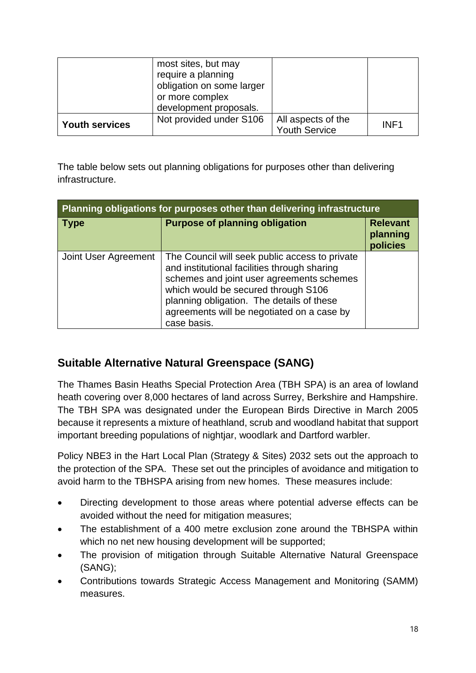|                       | most sites, but may<br>require a planning<br>obligation on some larger<br>or more complex<br>development proposals. |                                            |                  |
|-----------------------|---------------------------------------------------------------------------------------------------------------------|--------------------------------------------|------------------|
| <b>Youth services</b> | Not provided under S106                                                                                             | All aspects of the<br><b>Youth Service</b> | INF <sub>1</sub> |

The table below sets out planning obligations for purposes other than delivering infrastructure.

| Planning obligations for purposes other than delivering infrastructure |                                                                                                                                                                                                                                                                                              |                                         |  |
|------------------------------------------------------------------------|----------------------------------------------------------------------------------------------------------------------------------------------------------------------------------------------------------------------------------------------------------------------------------------------|-----------------------------------------|--|
| <b>Type</b>                                                            | <b>Purpose of planning obligation</b>                                                                                                                                                                                                                                                        | <b>Relevant</b><br>planning<br>policies |  |
| Joint User Agreement                                                   | The Council will seek public access to private<br>and institutional facilities through sharing<br>schemes and joint user agreements schemes<br>which would be secured through S106<br>planning obligation. The details of these<br>agreements will be negotiated on a case by<br>case basis. |                                         |  |

#### **Suitable Alternative Natural Greenspace (SANG)**

The Thames Basin Heaths Special Protection Area (TBH SPA) is an area of lowland heath covering over 8,000 hectares of land across Surrey, Berkshire and Hampshire. The TBH SPA was designated under the European Birds Directive in March 2005 because it represents a mixture of heathland, scrub and woodland habitat that support important breeding populations of nightjar, woodlark and Dartford warbler.

Policy NBE3 in the Hart Local Plan (Strategy & Sites) 2032 sets out the approach to the protection of the SPA. These set out the principles of avoidance and mitigation to avoid harm to the TBHSPA arising from new homes. These measures include:

- Directing development to those areas where potential adverse effects can be avoided without the need for mitigation measures;
- The establishment of a 400 metre exclusion zone around the TBHSPA within which no net new housing development will be supported;
- The provision of mitigation through Suitable Alternative Natural Greenspace (SANG);
- Contributions towards Strategic Access Management and Monitoring (SAMM) measures.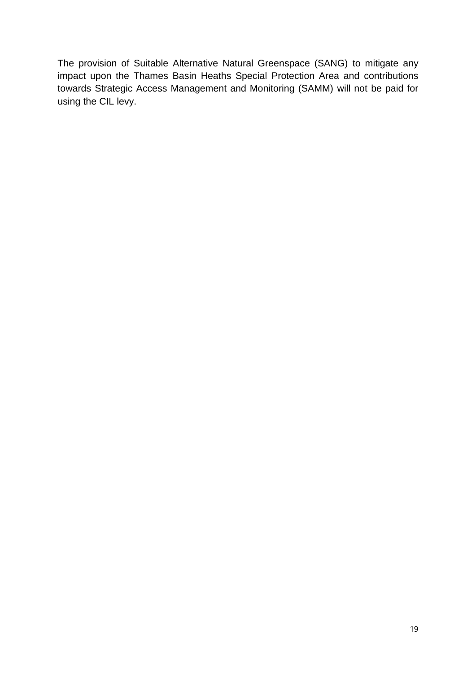The provision of Suitable Alternative Natural Greenspace (SANG) to mitigate any impact upon the Thames Basin Heaths Special Protection Area and contributions towards Strategic Access Management and Monitoring (SAMM) will not be paid for using the CIL levy.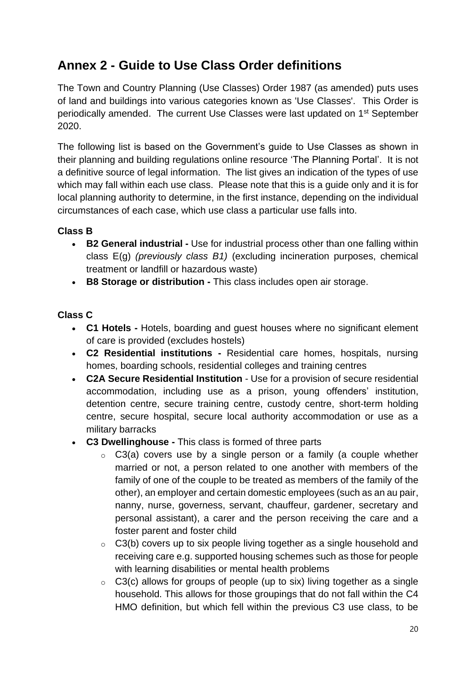### **Annex 2 - Guide to Use Class Order definitions**

The Town and Country Planning (Use Classes) Order 1987 (as amended) puts uses of land and buildings into various categories known as 'Use Classes'. This Order is periodically amended. The current Use Classes were last updated on 1st September 2020.

The following list is based on the Government's guide to Use Classes as shown in their planning and building regulations online resource 'The Planning Portal'. It is not a definitive source of legal information. The list gives an indication of the types of use which may fall within each use class. Please note that this is a guide only and it is for local planning authority to determine, in the first instance, depending on the individual circumstances of each case, which use class a particular use falls into.

#### **Class B**

- **B2 General industrial -** Use for industrial process other than one falling within class E(g) *(previously class B1)* (excluding incineration purposes, chemical treatment or landfill or hazardous waste)
- **B8 Storage or distribution -** This class includes open air storage.

#### **Class C**

- **C1 Hotels -** Hotels, boarding and guest houses where no significant element of care is provided (excludes hostels)
- **C2 Residential institutions -** Residential care homes, hospitals, nursing homes, boarding schools, residential colleges and training centres
- **C2A Secure Residential Institution** Use for a provision of secure residential accommodation, including use as a prison, young offenders' institution, detention centre, secure training centre, custody centre, short-term holding centre, secure hospital, secure local authority accommodation or use as a military barracks
- **C3 Dwellinghouse -** This class is formed of three parts
	- C3(a) covers use by a single person or a family (a couple whether married or not, a person related to one another with members of the family of one of the couple to be treated as members of the family of the other), an employer and certain domestic employees (such as an au pair, nanny, nurse, governess, servant, chauffeur, gardener, secretary and personal assistant), a carer and the person receiving the care and a foster parent and foster child
	- $\circ$  C3(b) covers up to six people living together as a single household and receiving care e.g. supported housing schemes such as those for people with learning disabilities or mental health problems
	- $\circ$  C3(c) allows for groups of people (up to six) living together as a single household. This allows for those groupings that do not fall within the C4 HMO definition, but which fell within the previous C3 use class, to be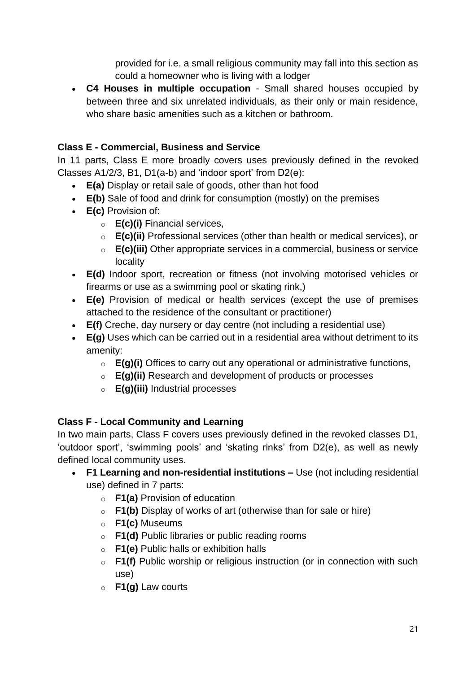provided for i.e. a small religious community may fall into this section as could a homeowner who is living with a lodger

• **C4 Houses in multiple occupation** - Small shared houses occupied by between three and six unrelated individuals, as their only or main residence, who share basic amenities such as a kitchen or bathroom.

#### **Class E - Commercial, Business and Service**

In 11 parts, Class E more broadly covers uses previously defined in the revoked Classes A1/2/3, B1, D1(a-b) and 'indoor sport' from D2(e):

- **E(a)** Display or retail sale of goods, other than hot food
- **E(b)** Sale of food and drink for consumption (mostly) on the premises
- **E(c)** Provision of:
	- o **E(c)(i)** Financial services,
	- o **E(c)(ii)** Professional services (other than health or medical services), or
	- o **E(c)(iii)** Other appropriate services in a commercial, business or service locality
- **E(d)** Indoor sport, recreation or fitness (not involving motorised vehicles or firearms or use as a swimming pool or skating rink,)
- **E(e)** Provision of medical or health services (except the use of premises attached to the residence of the consultant or practitioner)
- **E(f)** Creche, day nursery or day centre (not including a residential use)
- **E(g)** Uses which can be carried out in a residential area without detriment to its amenity:
	- o **E(g)(i)** Offices to carry out any operational or administrative functions,
	- o **E(g)(ii)** Research and development of products or processes
	- o **E(g)(iii)** Industrial processes

#### **Class F - Local Community and Learning**

In two main parts, Class F covers uses previously defined in the revoked classes D1, 'outdoor sport', 'swimming pools' and 'skating rinks' from D2(e), as well as newly defined local community uses.

- **F1 Learning and non-residential institutions –** Use (not including residential use) defined in 7 parts:
	- o **F1(a)** Provision of education
	- o **F1(b)** Display of works of art (otherwise than for sale or hire)
	- o **F1(c)** Museums
	- o **F1(d)** Public libraries or public reading rooms
	- o **F1(e)** Public halls or exhibition halls
	- o **F1(f)** Public worship or religious instruction (or in connection with such use)
	- o **F1(g)** Law courts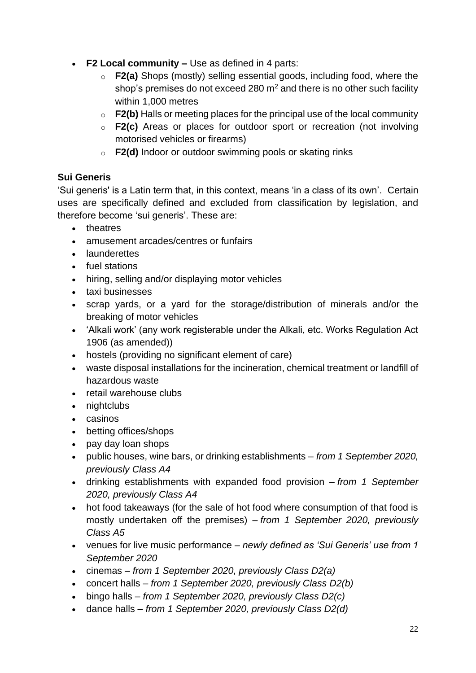- **F2 Local community –** Use as defined in 4 parts:
	- o **F2(a)** Shops (mostly) selling essential goods, including food, where the shop's premises do not exceed 280  $m<sup>2</sup>$  and there is no other such facility within 1,000 metres
	- o **F2(b)** Halls or meeting places for the principal use of the local community
	- o **F2(c)** Areas or places for outdoor sport or recreation (not involving motorised vehicles or firearms)
	- o **F2(d)** Indoor or outdoor swimming pools or skating rinks

#### **Sui Generis**

'Sui generis' is a Latin term that, in this context, means 'in a class of its own'. Certain uses are specifically defined and excluded from classification by legislation, and therefore become 'sui generis'. These are:

- theatres
- amusement arcades/centres or funfairs
- launderettes
- fuel stations
- hiring, selling and/or displaying motor vehicles
- taxi businesses
- scrap yards, or a yard for the storage/distribution of minerals and/or the breaking of motor vehicles
- 'Alkali work' (any work registerable under the Alkali, etc. Works Regulation Act 1906 (as amended))
- hostels (providing no significant element of care)
- waste disposal installations for the incineration, chemical treatment or landfill of hazardous waste
- retail warehouse clubs
- nightclubs
- casinos
- betting offices/shops
- pay day loan shops
- public houses, wine bars, or drinking establishments *from 1 September 2020, previously Class A4*
- drinking establishments with expanded food provision *from 1 September 2020, previously Class A4*
- hot food takeaways (for the sale of hot food where consumption of that food is mostly undertaken off the premises) – *from 1 September 2020, previously Class A5*
- venues for live music performance *newly defined as 'Sui Generis' use from 1 September 2020*
- cinemas *from 1 September 2020, previously Class D2(a)*
- concert halls *from 1 September 2020, previously Class D2(b)*
- bingo halls *from 1 September 2020, previously Class D2(c)*
- dance halls *from 1 September 2020, previously Class D2(d)*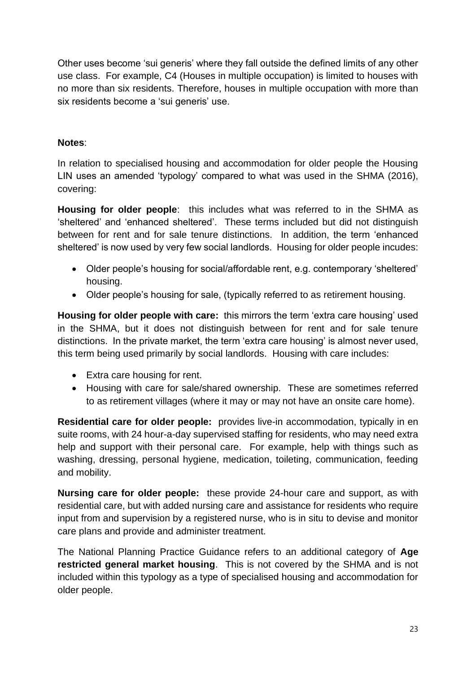Other uses become 'sui generis' where they fall outside the defined limits of any other use class. For example, C4 (Houses in multiple occupation) is limited to houses with no more than six residents. Therefore, houses in multiple occupation with more than six residents become a 'sui generis' use.

#### **Notes**:

In relation to specialised housing and accommodation for older people the Housing LIN uses an amended 'typology' compared to what was used in the SHMA (2016), covering:

**Housing for older people**: this includes what was referred to in the SHMA as 'sheltered' and 'enhanced sheltered'. These terms included but did not distinguish between for rent and for sale tenure distinctions. In addition, the term 'enhanced sheltered' is now used by very few social landlords. Housing for older people incudes:

- Older people's housing for social/affordable rent, e.g. contemporary 'sheltered' housing.
- Older people's housing for sale, (typically referred to as retirement housing.

**Housing for older people with care:** this mirrors the term 'extra care housing' used in the SHMA, but it does not distinguish between for rent and for sale tenure distinctions. In the private market, the term 'extra care housing' is almost never used, this term being used primarily by social landlords. Housing with care includes:

- Extra care housing for rent.
- Housing with care for sale/shared ownership. These are sometimes referred to as retirement villages (where it may or may not have an onsite care home).

**Residential care for older people:** provides live-in accommodation, typically in en suite rooms, with 24 hour-a-day supervised staffing for residents, who may need extra help and support with their personal care. For example, help with things such as washing, dressing, personal hygiene, medication, toileting, communication, feeding and mobility.

**Nursing care for older people:** these provide 24-hour care and support, as with residential care, but with added nursing care and assistance for residents who require input from and supervision by a registered nurse, who is in situ to devise and monitor care plans and provide and administer treatment.

The National Planning Practice Guidance refers to an additional category of **Age restricted general market housing**. This is not covered by the SHMA and is not included within this typology as a type of specialised housing and accommodation for older people.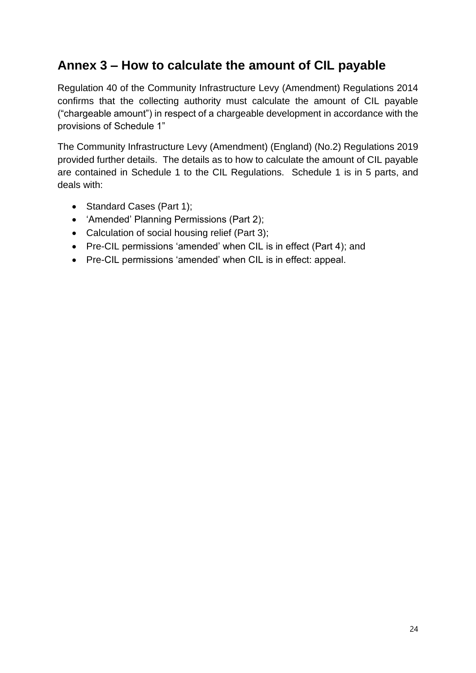#### **Annex 3 – How to calculate the amount of CIL payable**

Regulation 40 of the Community Infrastructure Levy (Amendment) Regulations 2014 confirms that the collecting authority must calculate the amount of CIL payable ("chargeable amount") in respect of a chargeable development in accordance with the provisions of Schedule 1"

The Community Infrastructure Levy (Amendment) (England) (No.2) Regulations 2019 provided further details. The details as to how to calculate the amount of CIL payable are contained in Schedule 1 to the CIL Regulations. Schedule 1 is in 5 parts, and deals with:

- Standard Cases (Part 1);
- 'Amended' Planning Permissions (Part 2);
- Calculation of social housing relief (Part 3);
- Pre-CIL permissions 'amended' when CIL is in effect (Part 4); and
- Pre-CIL permissions 'amended' when CIL is in effect: appeal.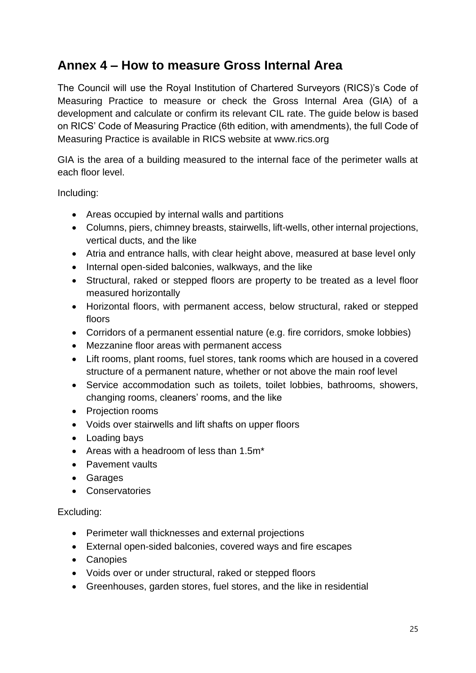#### **Annex 4 – How to measure Gross Internal Area**

The Council will use the Royal Institution of Chartered Surveyors (RICS)'s Code of Measuring Practice to measure or check the Gross Internal Area (GIA) of a development and calculate or confirm its relevant CIL rate. The guide below is based on RICS' Code of Measuring Practice (6th edition, with amendments), the full Code of Measuring Practice is available in RICS website at www.rics.org

GIA is the area of a building measured to the internal face of the perimeter walls at each floor level.

Including:

- Areas occupied by internal walls and partitions
- Columns, piers, chimney breasts, stairwells, lift-wells, other internal projections, vertical ducts, and the like
- Atria and entrance halls, with clear height above, measured at base level only
- Internal open-sided balconies, walkways, and the like
- Structural, raked or stepped floors are property to be treated as a level floor measured horizontally
- Horizontal floors, with permanent access, below structural, raked or stepped floors
- Corridors of a permanent essential nature (e.g. fire corridors, smoke lobbies)
- Mezzanine floor areas with permanent access
- Lift rooms, plant rooms, fuel stores, tank rooms which are housed in a covered structure of a permanent nature, whether or not above the main roof level
- Service accommodation such as toilets, toilet lobbies, bathrooms, showers, changing rooms, cleaners' rooms, and the like
- Projection rooms
- Voids over stairwells and lift shafts on upper floors
- Loading bays
- Areas with a headroom of less than 1.5m\*
- Pavement vaults
- Garages
- Conservatories

#### Excluding:

- Perimeter wall thicknesses and external projections
- External open-sided balconies, covered ways and fire escapes
- Canopies
- Voids over or under structural, raked or stepped floors
- Greenhouses, garden stores, fuel stores, and the like in residential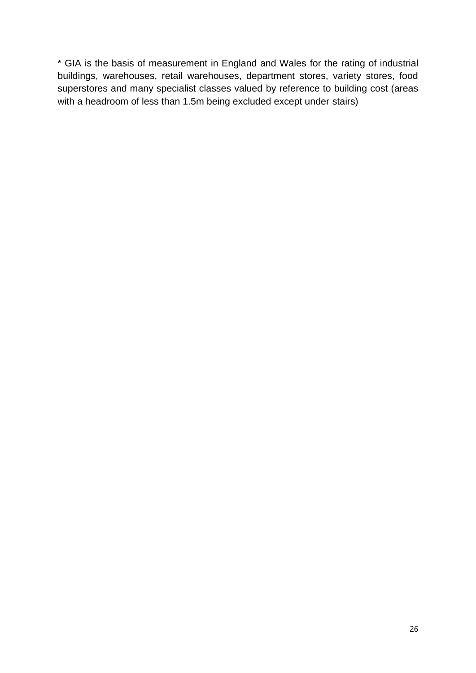\* GIA is the basis of measurement in England and Wales for the rating of industrial buildings, warehouses, retail warehouses, department stores, variety stores, food superstores and many specialist classes valued by reference to building cost (areas with a headroom of less than 1.5m being excluded except under stairs)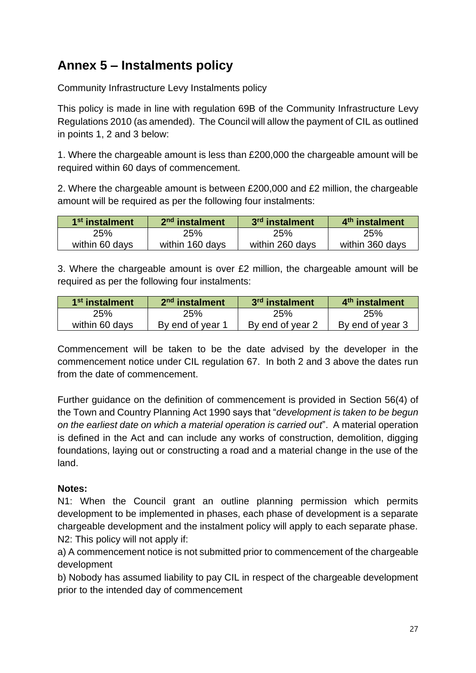### **Annex 5 – Instalments policy**

Community Infrastructure Levy Instalments policy

This policy is made in line with regulation 69B of the Community Infrastructure Levy Regulations 2010 (as amended). The Council will allow the payment of CIL as outlined in points 1, 2 and 3 below:

1. Where the chargeable amount is less than £200,000 the chargeable amount will be required within 60 days of commencement.

2. Where the chargeable amount is between £200,000 and £2 million, the chargeable amount will be required as per the following four instalments:

| 1 <sup>st</sup> instalment | 2 <sup>nd</sup> instalment | 3 <sup>rd</sup> instalment | 4 <sup>th</sup> instalment |
|----------------------------|----------------------------|----------------------------|----------------------------|
| 25%                        | 25%                        | 25%                        | 25%                        |
| within 60 days             | within 160 days            | within 260 days            | within 360 days            |

3. Where the chargeable amount is over £2 million, the chargeable amount will be required as per the following four instalments:

| 1 <sup>st</sup> instalment | 2 <sup>nd</sup> instalment | 3 <sup>rd</sup> instalment | 4 <sup>th</sup> instalment |
|----------------------------|----------------------------|----------------------------|----------------------------|
| 25%                        | 25%                        | 25%                        | <b>25%</b>                 |
| within 60 days             | By end of year 1           | By end of year 2           | By end of year 3           |

Commencement will be taken to be the date advised by the developer in the commencement notice under CIL regulation 67. In both 2 and 3 above the dates run from the date of commencement.

Further guidance on the definition of commencement is provided in Section 56(4) of the Town and Country Planning Act 1990 says that "*development is taken to be begun on the earliest date on which a material operation is carried out*". A material operation is defined in the Act and can include any works of construction, demolition, digging foundations, laying out or constructing a road and a material change in the use of the land.

#### **Notes:**

N1: When the Council grant an outline planning permission which permits development to be implemented in phases, each phase of development is a separate chargeable development and the instalment policy will apply to each separate phase. N2: This policy will not apply if:

a) A commencement notice is not submitted prior to commencement of the chargeable development

b) Nobody has assumed liability to pay CIL in respect of the chargeable development prior to the intended day of commencement